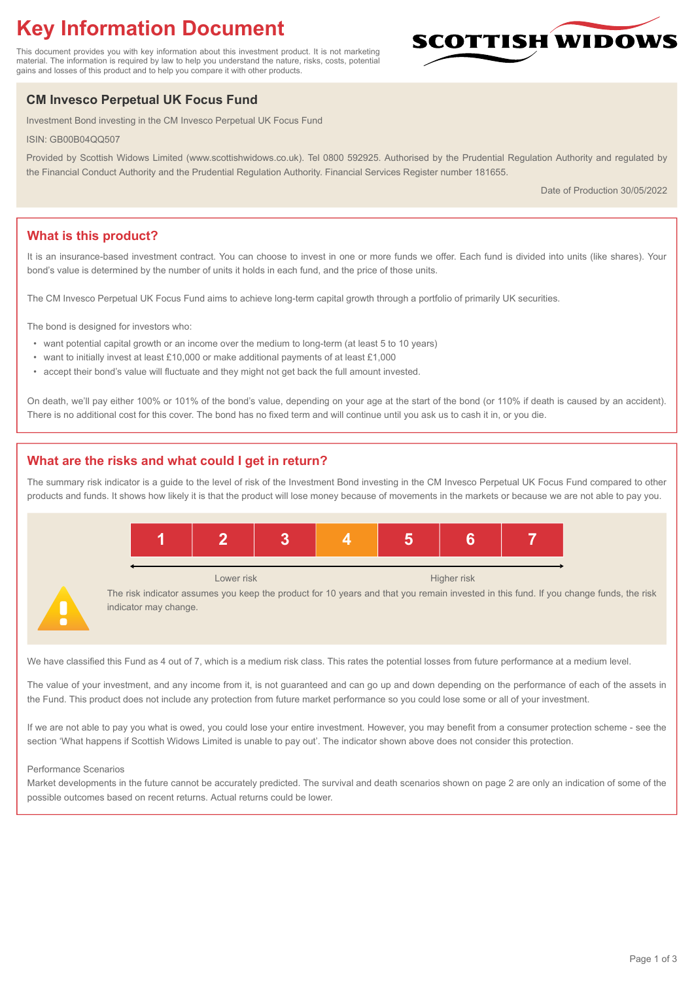# **Key Information Document**

This document provides you with key information about this investment product. It is not marketing material. The information is required by law to help you understand the nature, risks, costs, potential gains and losses of this product and to help you compare it with other products.

## **CM Invesco Perpetual UK Focus Fund**

Investment Bond investing in the CM Invesco Perpetual UK Focus Fund

ISIN: GB00B04QQ507

Provided by Scottish Widows Limited (www.scottishwidows.co.uk). Tel 0800 592925. Authorised by the Prudential Regulation Authority and regulated by the Financial Conduct Authority and the Prudential Regulation Authority. Financial Services Register number 181655.

Date of Production 30/05/2022

**SCOTTISH WIDOW** 

## **What is this product?**

It is an insurance-based investment contract. You can choose to invest in one or more funds we offer. Each fund is divided into units (like shares). Your bond's value is determined by the number of units it holds in each fund, and the price of those units.

The CM Invesco Perpetual UK Focus Fund aims to achieve long-term capital growth through a portfolio of primarily UK securities.

The bond is designed for investors who:

- want potential capital growth or an income over the medium to long-term (at least 5 to 10 years)
- want to initially invest at least £10,000 or make additional payments of at least £1,000
- accept their bond's value will fluctuate and they might not get back the full amount invested.

On death, we'll pay either 100% or 101% of the bond's value, depending on your age at the start of the bond (or 110% if death is caused by an accident). There is no additional cost for this cover. The bond has no fixed term and will continue until you ask us to cash it in, or you die.

## **What are the risks and what could I get in return?**

The summary risk indicator is a guide to the level of risk of the Investment Bond investing in the CM Invesco Perpetual UK Focus Fund compared to other products and funds. It shows how likely it is that the product will lose money because of movements in the markets or because we are not able to pay you.



We have classified this Fund as 4 out of 7, which is a medium risk class. This rates the potential losses from future performance at a medium level.

The value of your investment, and any income from it, is not guaranteed and can go up and down depending on the performance of each of the assets in the Fund. This product does not include any protection from future market performance so you could lose some or all of your investment.

If we are not able to pay you what is owed, you could lose your entire investment. However, you may benefit from a consumer protection scheme - see the section 'What happens if Scottish Widows Limited is unable to pay out'. The indicator shown above does not consider this protection.

#### Performance Scenarios

Market developments in the future cannot be accurately predicted. The survival and death scenarios shown on page 2 are only an indication of some of the possible outcomes based on recent returns. Actual returns could be lower.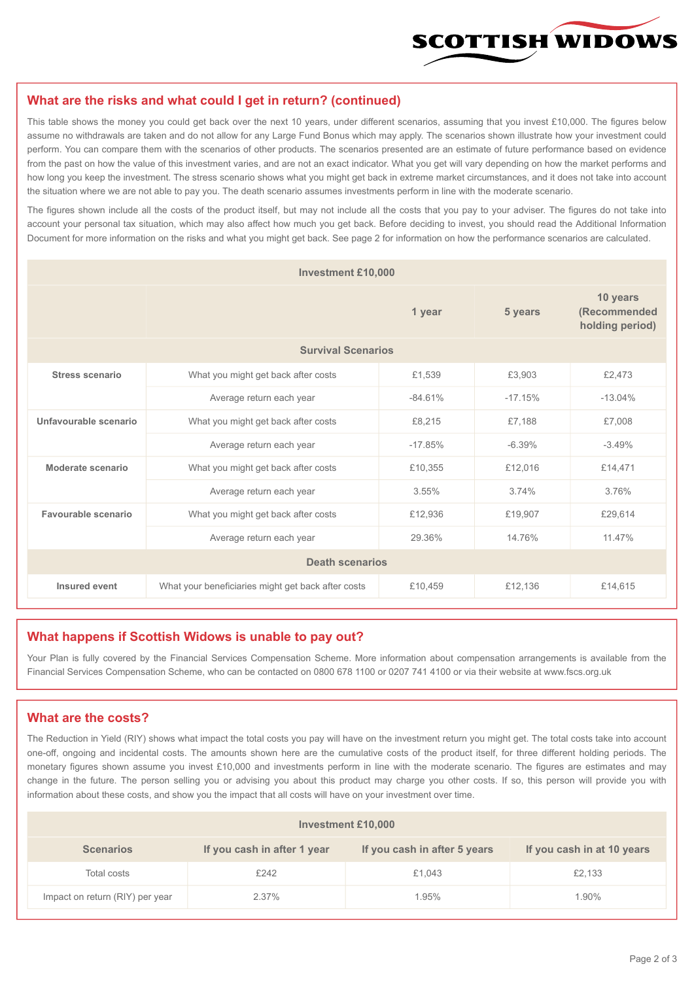

#### **What are the risks and what could I get in return? (continued)**

This table shows the money you could get back over the next 10 years, under different scenarios, assuming that you invest £10,000. The figures below assume no withdrawals are taken and do not allow for any Large Fund Bonus which may apply. The scenarios shown illustrate how your investment could perform. You can compare them with the scenarios of other products. The scenarios presented are an estimate of future performance based on evidence from the past on how the value of this investment varies, and are not an exact indicator. What you get will vary depending on how the market performs and how long you keep the investment. The stress scenario shows what you might get back in extreme market circumstances, and it does not take into account the situation where we are not able to pay you. The death scenario assumes investments perform in line with the moderate scenario.

The figures shown include all the costs of the product itself, but may not include all the costs that you pay to your adviser. The figures do not take into account your personal tax situation, which may also affect how much you get back. Before deciding to invest, you should read the Additional Information Document for more information on the risks and what you might get back. See page 2 for information on how the performance scenarios are calculated.

| <b>Investment £10,000</b> |                                                    |           |                                             |           |  |  |
|---------------------------|----------------------------------------------------|-----------|---------------------------------------------|-----------|--|--|
|                           |                                                    | 5 years   | 10 years<br>(Recommended<br>holding period) |           |  |  |
| <b>Survival Scenarios</b> |                                                    |           |                                             |           |  |  |
| <b>Stress scenario</b>    | £1,539<br>What you might get back after costs      |           | £3,903                                      | £2,473    |  |  |
|                           | $-84.61%$<br>Average return each year              |           | $-17.15%$                                   | $-13.04%$ |  |  |
| Unfavourable scenario     | What you might get back after costs<br>£8,215      |           | £7,188                                      | £7,008    |  |  |
|                           | Average return each year                           | $-17.85%$ | $-6.39%$                                    | $-3.49%$  |  |  |
| Moderate scenario         | What you might get back after costs                | £10,355   | £12,016                                     | £14,471   |  |  |
|                           | Average return each year                           | 3.55%     | 3.74%                                       | 3.76%     |  |  |
| Favourable scenario       | What you might get back after costs                | £12,936   | £19,907                                     | £29,614   |  |  |
| Average return each year  |                                                    | 29.36%    | 14.76%                                      | 11 47%    |  |  |
| <b>Death scenarios</b>    |                                                    |           |                                             |           |  |  |
| Insured event             | What your beneficiaries might get back after costs | £10,459   | £12,136                                     | £14,615   |  |  |

#### **What happens if Scottish Widows is unable to pay out?**

Your Plan is fully covered by the Financial Services Compensation Scheme. More information about compensation arrangements is available from the Financial Services Compensation Scheme, who can be contacted on 0800 678 1100 or 0207 741 4100 or via their website at www.fscs.org.uk

## **What are the costs?**

The Reduction in Yield (RIY) shows what impact the total costs you pay will have on the investment return you might get. The total costs take into account one-off, ongoing and incidental costs. The amounts shown here are the cumulative costs of the product itself, for three different holding periods. The monetary figures shown assume you invest £10,000 and investments perform in line with the moderate scenario. The figures are estimates and may change in the future. The person selling you or advising you about this product may charge you other costs. If so, this person will provide you with information about these costs, and show you the impact that all costs will have on your investment over time.

| <b>Investment £10,000</b>       |                             |                              |                            |  |  |  |
|---------------------------------|-----------------------------|------------------------------|----------------------------|--|--|--|
| <b>Scenarios</b>                | If you cash in after 1 year | If you cash in after 5 years | If you cash in at 10 years |  |  |  |
| Total costs                     | £242                        | £1,043                       | £2,133                     |  |  |  |
| Impact on return (RIY) per year | 2.37%                       | 1.95%                        | 1.90%                      |  |  |  |